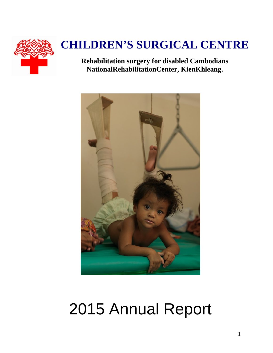

# **CHILDREN'S SURGICAL CENTRE**

**Rehabilitation surgery for disabled Cambodians NationalRehabilitationCenter, KienKhleang.**



# 2015 Annual Report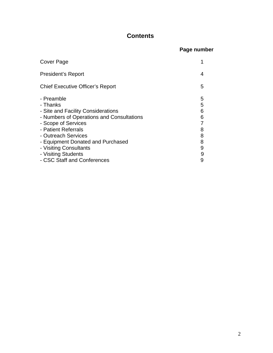### **Contents**

| Page number |
|-------------|
|             |

| Cover Page                                                                                                                                                                                                          |                                 |
|---------------------------------------------------------------------------------------------------------------------------------------------------------------------------------------------------------------------|---------------------------------|
| President's Report                                                                                                                                                                                                  | 4                               |
| <b>Chief Executive Officer's Report</b>                                                                                                                                                                             | 5                               |
| - Preamble<br>- Thanks<br>- Site and Facility Considerations<br>- Numbers of Operations and Consultations<br>- Scope of Services<br>- Patient Referrals<br>- Outreach Services<br>- Equipment Donated and Purchased | 5<br>5<br>6<br>6<br>8<br>8<br>8 |
| - Visiting Consultants                                                                                                                                                                                              | 9                               |
| - Visiting Students<br>- CSC Staff and Conferences                                                                                                                                                                  | 9<br>9                          |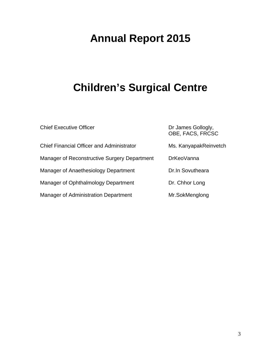## **Annual Report 2015**

### **Children's Surgical Centre**

| <b>Chief Executive Officer</b>                   | Dr James Gollogly,<br>OBE, FACS, FRCSC |
|--------------------------------------------------|----------------------------------------|
| <b>Chief Financial Officer and Administrator</b> | Ms. KanyapakReinvetch                  |
| Manager of Reconstructive Surgery Department     | <b>DrKeoVanna</b>                      |
| Manager of Anaethesiology Department             | Dr. In Sovutheara                      |
| Manager of Ophthalmology Department              | Dr. Chhor Long                         |
| Manager of Administration Department             | Mr.SokMenglong                         |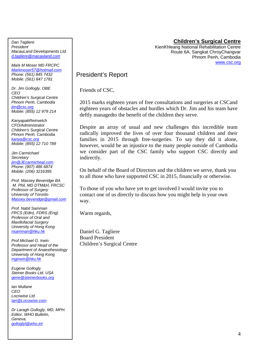#### **Children's Surgical Centre**

KienKhleang National Rehabilitation Centre Route 6A, Sangkat ChroyChangvar Phnom Penh, Cambodia www.csc.org

President's Report

Friends of CSC,

2015 marks eighteen years of free consultations and surgeries at CSCand eighteen years of obstacles and hurdles which Dr. Jim and his team have deftly managedto the benefit of the children they serve.

Despite an array of usual and new challenges this incredible team radically improved the lives of over four thousand children and their families in 2015 through free-surgeries. To say they did it alone, however, would be an injustice to the many people outside of Cambodia we consider part of the CSC family who support CSC directly and indirectly.

On behalf of the Board of Directors and the children we serve, thank you to all those who have supported CSC in 2015, financially or otherwise.

To those of you who have yet to get involved I would invite you to contact one of us directly to discuss how you might help in your own way.

Warm regards,

Daniel G. Tagliere Board President Children's Surgical Centre

*Dan Tagliere President MacauLand Developments Ltd. d.tagliere@macauland.com*

*Mark M Moser MD FRCPC Markmoser57@hotmail.com Phone: (561) 845 7432 Mobile: (561) 847 1781* 

*Dr. Jim Gollogly, OBE CEO Children's Surgical Centre Phnom Penh, Cambodia jim@csc.org Mobile: (855) 12 979 214* 

*KanyapakReinvetch CFO/Administrator Children's Surgical Centre Phnom Penh, Cambodia kanya@csc.org Mobile: (855) 12 710 789* 

*Jim Carmichael Secretary jim@JEcarmicheal.com Phone: (907) 486 6874 Mobile: (206) 3216395* 

*Prof. Massey Beveridge BA M. Phil, MD DTM&H, FRCSC Professor of Surgery University of Toronto Massey.beveridge@gmail.com*

*Prof. Nabil Samman FRCS (Edin), FDRS (Eng) Professor of Oral and Maxillofacial Surgery University of Hong Kong nsamman@hku.hk*

*Prof.Michael G. Irwin Professor and Head of the Department of Anaesthesiology University of Hong Kong mgirwin@hku.hk*

*Eugene Gollogly Steiner Books Ltd. USA gene@steinerbooks.org*

*Ian Mullane CEO Locowise Ltd Ian@Locowise.com*

*Dr Laragh Gollogly, MD, MPH. Editor, WHO Bulletin, Geneva, golloglyl@who.int*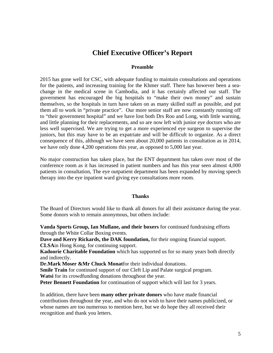### **Chief Executive Officer's Report**

#### **Preamble**

2015 has gone well for CSC, with adequate funding to maintain consultations and operations for the patients, and increasing training for the Khmer staff. There has however been a seachange in the medical scene in Cambodia, and it has certainly affected our staff. The government has encouraged the big hospitals to "make their own money" and sustain themselves, so the hospitals in turn have taken on as many skilled staff as possible, and put them all to work in "private practice". Our more senior staff are now constantly running off to "their government hospital" and we have lost both Drs Roo and Long, with little warning, and little planning for their replacements, and so are now left with junior eye doctors who are less well supervised. We are trying to get a more experienced eye surgeon to supervise the juniors, but this may have to be an expatriate and will be difficult to organize. As a direct consequence of this, although we have seen about 20,000 patients in consultation as in 2014, we have only done 4,200 operations this year, as opposed to 5,000 last year.

No major construction has taken place, but the ENT department has taken over most of the conference room as it has increased in patient numbers and has this year seen almost 4,000 patients in consultation, The eye outpatient department has been expanded by moving speech therapy into the eye inpatient ward giving eye consultations more room.

#### **Thanks**

The Board of Directors would like to thank all donors for all their assistance during the year. Some donors wish to remain anonymous, but others include:

**Vanda Sports Group, Ian Mullane, and their boxers** for continued fundraising efforts through the White Collar Boxing events.

**Dave and Kerry Rickards, the DAK foundation,** for their ongoing financial support. **CLSA**in Hong Kong, for continuing support.

**Kadoorie Charitable Foundation** which has supported us for so many years both directly and indirectly.

**Dr.Mark Moser &Mr Chuck Monat**for their individual donations.

**Smile Train** for continued support of our Cleft Lip and Palate surgical program. **Watsi** for its crowdfunding donations throughout the year.

**Peter Bennett Foundation** for continuation of support which will last for 3 years.

In addition, there have been **many other private donors** who have made financial contributions throughout the year, and who do not wish to have their names publicized, or whose names are too numerous to mention here, but we do hope they all received their recognition and thank you letters.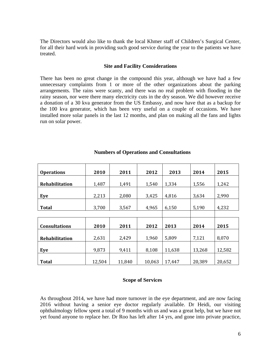The Directors would also like to thank the local Khmer staff of Children's Surgical Center, for all their hard work in providing such good service during the year to the patients we have treated.

#### **Site and Facility Considerations**

There has been no great change in the compound this year, although we have had a few unnecessary complaints from 1 or more of the other organizations about the parking arrangements. The rains were scanty, and there was no real problem with flooding in the rainy season, nor were there many electricity cuts in the dry season. We did however receive a donation of a 30 kva generator from the US Embassy, and now have that as a backup for the 100 kva generator, which has been very useful on a couple of occasions. We have installed more solar panels in the last 12 months, and plan on making all the fans and lights run on solar power.

| <b>Operations</b>     | 2010   | 2011   | 2012   | 2013   | 2014   | 2015   |
|-----------------------|--------|--------|--------|--------|--------|--------|
| <b>Rehabilitation</b> | 1,487  | 1,491  | 1,540  | 1,334  | 1,556  | 1,242  |
| Eye                   | 2,213  | 2,080  | 3,425  | 4,816  | 3,634  | 2,990  |
| <b>Total</b>          | 3,700  | 3,567  | 4,965  | 6,150  | 5,190  | 4,232  |
|                       |        |        |        |        |        |        |
| <b>Consultations</b>  | 2010   | 2011   | 2012   | 2013   | 2014   | 2015   |
| Rehabilitation        | 2,631  | 2,429  | 1,960  | 5,809  | 7,121  | 8,070  |
| Eye                   | 9,873  | 9,411  | 8,108  | 11,638 | 13,268 | 12,582 |
| <b>Total</b>          | 12,504 | 11,840 | 10,063 | 17,447 | 20,389 | 20,652 |

#### **Numbers of Operations and Consultations**

#### **Scope of Services**

As throughout 2014, we have had more turnover in the eye department, and are now facing 2016 without having a senior eye doctor regularly available. Dr Heidi, our visiting ophthalmology fellow spent a total of 9 months with us and was a great help, but we have not yet found anyone to replace her. Dr Roo has left after 14 yrs, and gone into private practice,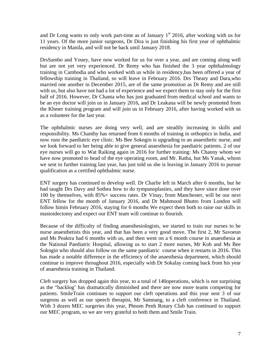and Dr Long wants to only work part-time as of January  $1<sup>st</sup>$  2016, after working with us for 11 years. Of the more junior surgeons, Dr Dira is just finishing his first year of ophthalmic residency in Manila, and will not be back until January 2018.

DrsSambo and Youey, have now worked for us for over a year, and are coming along well but are not yet very experienced. Dr Remy who has finished the 3 year ophthalmology training in Cambodia and who worked with us while in residency,has been offered a year of fellowship training in Thailand, so will leave in February 2016. Drs Theary and Dara,who married one another in December 2015, are of the same promotion as Dr Remy and are still with us, but also have not had a lot of experience and we expect them to stay only for the first half of 2016. However, Dr Chanta who has just graduated from medical school and wants to be an eye doctor will join us in January 2016, and Dr Leakana will be newly promoted from the Khmer training program and will join us in February 2016, after having worked with us as a volunteer for the last year.

The ophthalmic nurses are doing very well, and are steadily increasing in skills and responsibility. Ms Chanthy has returned from 6 months of training in orthoptics in India, and now runs the paediatric eye clinic. Ms Bee Sokngin is upgrading to an anaesthetic nurse, and we look forward to her being able to give general anaesthesia for paediatric patients. 2 of our eye nurses will go to Wat Raiking again in 2016 for further training: Ms Channy whom we have now promoted to head of the eye operating room, and Mr. Ratha, but Ms Yanak, whom we sent to further training last year, has just told us she is leaving in January 2016 to pursue qualification as a certified ophthalmic nurse.

ENT surgery has continued to develop well. Dr Charlie left in March after 6 months, but he had taught Drs Davy and Sothea how to do tympanoplasties, and they have since done over 100 by themselves, with 85%+ success rates. Dr Vinay, from Manchester, will be our next ENT fellow for the month of January 2016, and Dr Mahmood Bhutto from London will follow himin February 2016, staying for 6 months We expect them both to raise our skills in mastoidectomy and expect our ENT team will continue to flourish.

Because of the difficulty of finding anaesthesiologists, we started to train our nurses to be nurse anaesthetists this year, and that has been a very good move. The first 2, Mr Savoeun and Ms Peaktra had 6 months with us, and then went on a 6 month course in anaesthesia at the National Paediatric Hospital, allowing us to start 2 more nurses, Mr Kob and Ms Bee Sokngin who should also follow on the same paediatric course when it restarts in 2016. This has made a notable difference in the efficiency of the anaesthesia department, which should continue to improve throughout 2016, especially with Dr Sokalay coming back from his year of anaesthesia training in Thailand.

Cleft surgery has dropped again this year, to a total of 140operations, which is not surprising as the "backlog' has dramatically diminished and there are now more teams competing for patients. SmileTrain continues to support our cleft operations and this year sent 3 of our surgeons as well as our speech therapist, Mr Samnang, to a cleft conference in Thailand. With 3 dozen MEC surgeries this year, Phnom Penh Rotary Club has continued to support our MEC program, so we are very grateful to both them and Smile Train.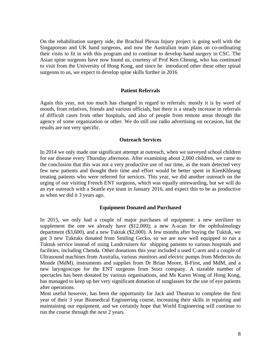On the rehabilitation surgery side, the Brachial Plexus Injury project is going well with the Singaporean and UK hand surgeons, and now the Australian team plans on co-ordinating their visits to fit in with this program and to continue to develop hand surgery in CSC. The Asian spine surgeons have now found us, courtesy of Prof Ken Cheung, who has continued to visit from the University of Hong Kong, and since he introduced other these other spinal surgeons to us, we expect to develop spine skills further in 2016

#### **Patient Referrals**

Again this year, not too much has changed in regard to referrals: mostly it is by word of mouth, from relatives, friends and various officials, but there is a steady increase in referrals of difficult cases from other hospitals, and also of people from remote areas through the agency of some organization or other. We do still use radio advertising on occasion, but the results are not very specific.

#### **Outreach Services**

In 2014 we only made one significant attempt at outreach, when we surveyed school children for ear disease every Thursday afternoon. After examining about 2,000 children, we came to the conclusion that this was not a very productive use of our time, as the team detected very few new patients and thought their time and effort would be better spent in KienKhleang treating patients who were referred for services. This year, we did another outreach on the urging of our visiting French ENT surgeons, which was equally unrewarding, but we will do an eye outreach with a Seattle eye team in January 2016, and expect this to be as productive as when we did it 3 years ago.

#### **Equipment Donated and Purchased**

In 2015, we only had a couple of major purchases of equipment: a new sterilizer to supplement the one we already have (\$12,000); a new A-scan for the ophthalmology department (\$3,600), and a new Tuktuk (\$2,000). A few months after buying the Tuktuk, we got 3 new Tuktuks donated from Smiling Gecko, so we are now well equipped to run a Tuktuk service instead of using Landcruisers for shipping patients to various hospitals and facilities, including Chenda. Other donations this year included a used C-arm and a couple of Ultrasound machines from Australia, various monitors and electric pumps from Medecins du Monde (MdM), instruments and supplies from Dr Brian Moore, B-First, and MdM, and a new laryngoscope for the ENT surgeons from Storz company. A sizeable number of spectacles has been donated by various organisations, and Ms Karen Wong of Hong Kong, has managed to keep up her very significant donation of sunglasses for the use of eye patients after operations.

Most useful however, has been the opportunity for Jack and Thearun to complete the first year of their 3 year Biomedical Engineering course, increasing their skills in repairing and maintaining our equipment, and we certainly hope that World Engineering will continue to run the course through the next 2 years.